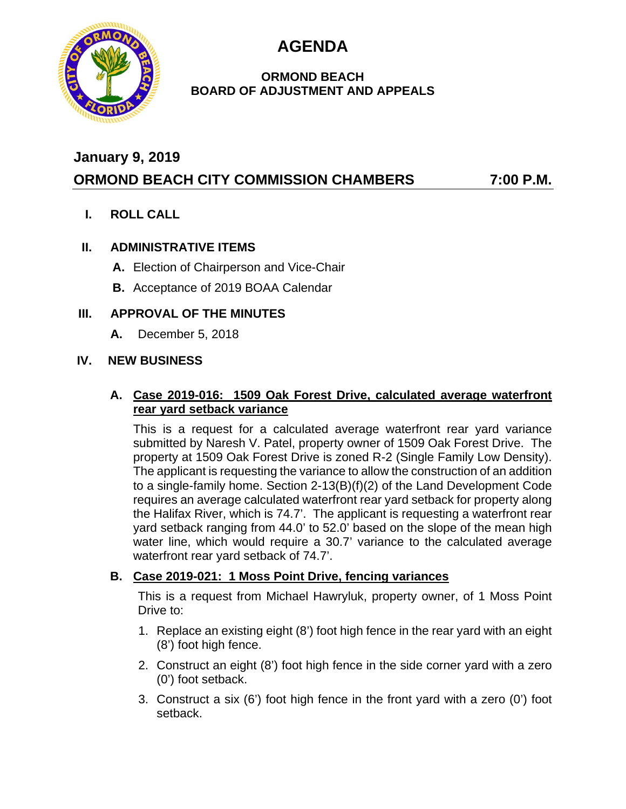**AGENDA**



## **ORMOND BEACH BOARD OF ADJUSTMENT AND APPEALS**

# **January 9, 2019**

# **ORMOND BEACH CITY COMMISSION CHAMBERS 7:00 P.M.**

**I. ROLL CALL**

# **II. ADMINISTRATIVE ITEMS**

- **A.** Election of Chairperson and Vice-Chair
- **B.** Acceptance of 2019 BOAA Calendar

#### **III. APPROVAL OF THE MINUTES**

**A.** December 5, 2018

#### **IV. NEW BUSINESS**

#### **A. Case 2019-016: 1509 Oak Forest Drive, calculated average waterfront rear yard setback variance**

This is a request for a calculated average waterfront rear yard variance submitted by Naresh V. Patel, property owner of 1509 Oak Forest Drive. The property at 1509 Oak Forest Drive is zoned R-2 (Single Family Low Density). The applicant is requesting the variance to allow the construction of an addition to a single-family home. Section 2-13(B)(f)(2) of the Land Development Code requires an average calculated waterfront rear yard setback for property along the Halifax River, which is 74.7'. The applicant is requesting a waterfront rear yard setback ranging from 44.0' to 52.0' based on the slope of the mean high water line, which would require a 30.7' variance to the calculated average waterfront rear yard setback of 74.7'.

## **B. Case 2019-021: 1 Moss Point Drive, fencing variances**

This is a request from Michael Hawryluk, property owner, of 1 Moss Point Drive to:

- 1. Replace an existing eight (8') foot high fence in the rear yard with an eight (8') foot high fence.
- 2. Construct an eight (8') foot high fence in the side corner yard with a zero (0') foot setback.
- 3. Construct a six (6') foot high fence in the front yard with a zero (0') foot setback.